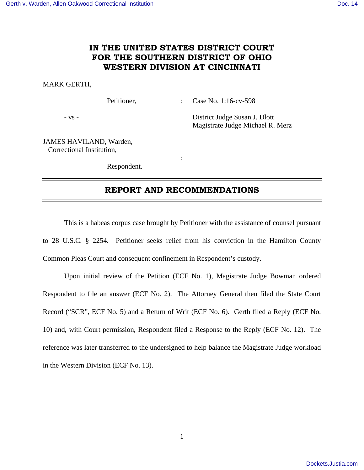# **IN THE UNITED STATES DISTRICT COURT FOR THE SOUTHERN DISTRICT OF OHIO WESTERN DIVISION AT CINCINNATI**

### MARK GERTH,

Petitioner, : Case No. 1:16-cv-598

- vs - District Judge Susan J. Dlott Magistrate Judge Michael R. Merz

JAMES HAVILAND, Warden, Correctional Institution,

Respondent.

**Service State State State** 

## **REPORT AND RECOMMENDATIONS**

 This is a habeas corpus case brought by Petitioner with the assistance of counsel pursuant to 28 U.S.C. § 2254. Petitioner seeks relief from his conviction in the Hamilton County Common Pleas Court and consequent confinement in Respondent's custody.

 Upon initial review of the Petition (ECF No. 1), Magistrate Judge Bowman ordered Respondent to file an answer (ECF No. 2). The Attorney General then filed the State Court Record ("SCR", ECF No. 5) and a Return of Writ (ECF No. 6). Gerth filed a Reply (ECF No. 10) and, with Court permission, Respondent filed a Response to the Reply (ECF No. 12). The reference was later transferred to the undersigned to help balance the Magistrate Judge workload in the Western Division (ECF No. 13).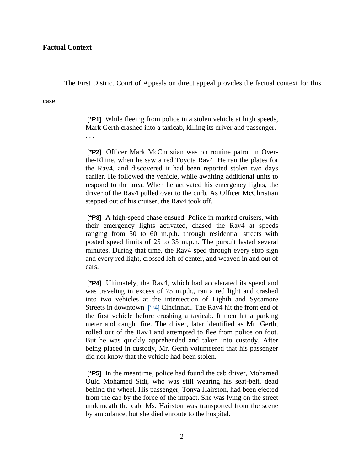The First District Court of Appeals on direct appeal provides the factual context for this

case:

 **[\*P1]** While fleeing from police in a stolen vehicle at high speeds, Mark Gerth crashed into a taxicab, killing its driver and passenger. . . .

 **[\*P2]** Officer Mark McChristian was on routine patrol in Overthe-Rhine, when he saw a red Toyota Rav4. He ran the plates for the Rav4, and discovered it had been reported stolen two days earlier. He followed the vehicle, while awaiting additional units to respond to the area. When he activated his emergency lights, the driver of the Rav4 pulled over to the curb. As Officer McChristian stepped out of his cruiser, the Rav4 took off.

 **[\*P3]** A high-speed chase ensued. Police in marked cruisers, with their emergency lights activated, chased the Rav4 at speeds ranging from 50 to 60 m.p.h. through residential streets with posted speed limits of 25 to 35 m.p.h. The pursuit lasted several minutes. During that time, the Rav4 sped through every stop sign and every red light, crossed left of center, and weaved in and out of cars.

 **[\*P4]** Ultimately, the Rav4, which had accelerated its speed and was traveling in excess of 75 m.p.h., ran a red light and crashed into two vehicles at the intersection of Eighth and Sycamore Streets in downtown [\*\*4] Cincinnati. The Rav4 hit the front end of the first vehicle before crushing a taxicab. It then hit a parking meter and caught fire. The driver, later identified as Mr. Gerth, rolled out of the Rav4 and attempted to flee from police on foot. But he was quickly apprehended and taken into custody. After being placed in custody, Mr. Gerth volunteered that his passenger did not know that the vehicle had been stolen.

 **[\*P5]** In the meantime, police had found the cab driver, Mohamed Ould Mohamed Sidi, who was still wearing his seat-belt, dead behind the wheel. His passenger, Tonya Hairston, had been ejected from the cab by the force of the impact. She was lying on the street underneath the cab. Ms. Hairston was transported from the scene by ambulance, but she died enroute to the hospital.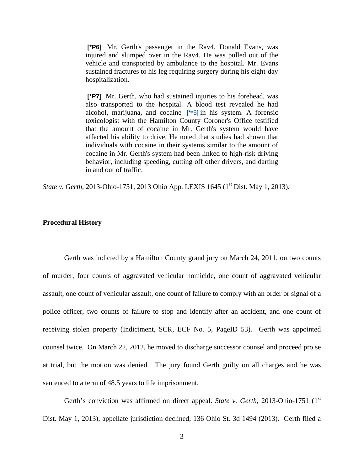**[\*P6]** Mr. Gerth's passenger in the Rav4, Donald Evans, was injured and slumped over in the Rav4. He was pulled out of the vehicle and transported by ambulance to the hospital. Mr. Evans sustained fractures to his leg requiring surgery during his eight-day hospitalization.

 **[\*P7]** Mr. Gerth, who had sustained injuries to his forehead, was also transported to the hospital. A blood test revealed he had alcohol, marijuana, and cocaine [\*\*5] in his system. A forensic toxicologist with the Hamilton County Coroner's Office testified that the amount of cocaine in Mr. Gerth's system would have affected his ability to drive. He noted that studies had shown that individuals with cocaine in their systems similar to the amount of cocaine in Mr. Gerth's system had been linked to high-risk driving behavior, including speeding, cutting off other drivers, and darting in and out of traffic.

*State v. Gerth,* 2013-Ohio-1751, 2013 Ohio App. LEXIS 1645 (1<sup>st</sup> Dist. May 1, 2013).

#### **Procedural History**

Gerth was indicted by a Hamilton County grand jury on March 24, 2011, on two counts of murder, four counts of aggravated vehicular homicide, one count of aggravated vehicular assault, one count of vehicular assault, one count of failure to comply with an order or signal of a police officer, two counts of failure to stop and identify after an accident, and one count of receiving stolen property (Indictment, SCR, ECF No. 5, PageID 53). Gerth was appointed counsel twice. On March 22, 2012, he moved to discharge successor counsel and proceed pro se at trial, but the motion was denied. The jury found Gerth guilty on all charges and he was sentenced to a term of 48.5 years to life imprisonment.

Gerth's conviction was affirmed on direct appeal. *State v. Gerth*, 2013-Ohio-1751 (1<sup>st</sup> Dist. May 1, 2013), appellate jurisdiction declined, 136 Ohio St. 3d 1494 (2013). Gerth filed a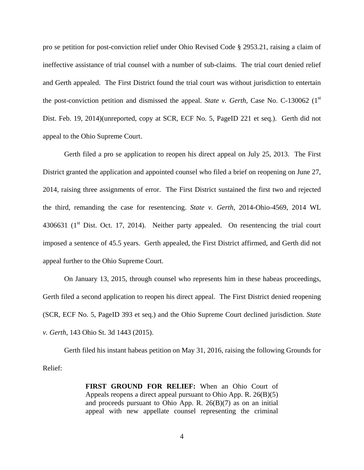pro se petition for post-conviction relief under Ohio Revised Code § 2953.21, raising a claim of ineffective assistance of trial counsel with a number of sub-claims. The trial court denied relief and Gerth appealed. The First District found the trial court was without jurisdiction to entertain the post-conviction petition and dismissed the appeal. *State v. Gerth*, Case No. C-130062 (1st Dist. Feb. 19, 2014)(unreported, copy at SCR, ECF No. 5, PageID 221 et seq.). Gerth did not appeal to the Ohio Supreme Court.

 Gerth filed a pro se application to reopen his direct appeal on July 25, 2013. The First District granted the application and appointed counsel who filed a brief on reopening on June 27, 2014, raising three assignments of error. The First District sustained the first two and rejected the third, remanding the case for resentencing. *State v. Gerth*, 2014-Ohio-4569, 2014 WL 4306631 ( $1<sup>st</sup>$  Dist. Oct. 17, 2014). Neither party appealed. On resentencing the trial court imposed a sentence of 45.5 years. Gerth appealed, the First District affirmed, and Gerth did not appeal further to the Ohio Supreme Court.

 On January 13, 2015, through counsel who represents him in these habeas proceedings, Gerth filed a second application to reopen his direct appeal. The First District denied reopening (SCR, ECF No. 5, PageID 393 et seq.) and the Ohio Supreme Court declined jurisdiction. *State v. Gerth*, 143 Ohio St. 3d 1443 (2015).

 Gerth filed his instant habeas petition on May 31, 2016, raising the following Grounds for Relief:

> **FIRST GROUND FOR RELIEF:** When an Ohio Court of Appeals reopens a direct appeal pursuant to Ohio App. R. 26(B)(5) and proceeds pursuant to Ohio App. R. 26(B)(7) as on an initial appeal with new appellate counsel representing the criminal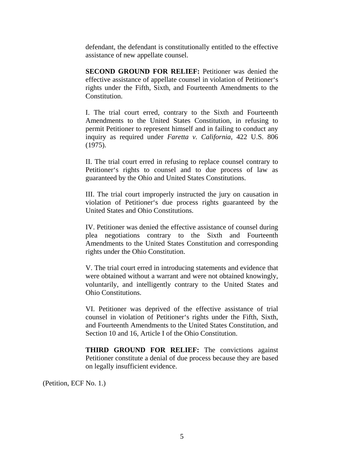defendant, the defendant is constitutionally entitled to the effective assistance of new appellate counsel.

**SECOND GROUND FOR RELIEF:** Petitioner was denied the effective assistance of appellate counsel in violation of Petitioner's rights under the Fifth, Sixth, and Fourteenth Amendments to the Constitution.

I. The trial court erred, contrary to the Sixth and Fourteenth Amendments to the United States Constitution, in refusing to permit Petitioner to represent himself and in failing to conduct any inquiry as required under *Faretta v. California*, 422 U.S. 806 (1975).

II. The trial court erred in refusing to replace counsel contrary to Petitioner's rights to counsel and to due process of law as guaranteed by the Ohio and United States Constitutions.

III. The trial court improperly instructed the jury on causation in violation of Petitioner's due process rights guaranteed by the United States and Ohio Constitutions.

IV. Petitioner was denied the effective assistance of counsel during plea negotiations contrary to the Sixth and Fourteenth Amendments to the United States Constitution and corresponding rights under the Ohio Constitution.

V. The trial court erred in introducing statements and evidence that were obtained without a warrant and were not obtained knowingly, voluntarily, and intelligently contrary to the United States and Ohio Constitutions.

VI. Petitioner was deprived of the effective assistance of trial counsel in violation of Petitioner's rights under the Fifth, Sixth, and Fourteenth Amendments to the United States Constitution, and Section 10 and 16, Article I of the Ohio Constitution.

**THIRD GROUND FOR RELIEF:** The convictions against Petitioner constitute a denial of due process because they are based on legally insufficient evidence.

(Petition, ECF No. 1.)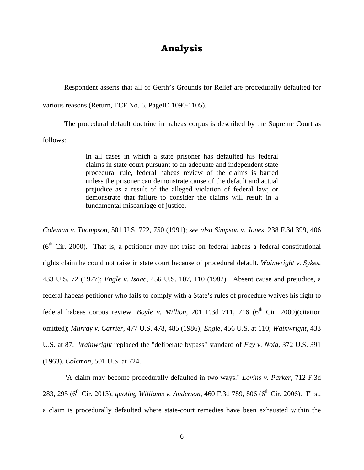# **Analysis**

 Respondent asserts that all of Gerth's Grounds for Relief are procedurally defaulted for various reasons (Return, ECF No. 6, PageID 1090-1105).

 The procedural default doctrine in habeas corpus is described by the Supreme Court as follows:

> In all cases in which a state prisoner has defaulted his federal claims in state court pursuant to an adequate and independent state procedural rule, federal habeas review of the claims is barred unless the prisoner can demonstrate cause of the default and actual prejudice as a result of the alleged violation of federal law; or demonstrate that failure to consider the claims will result in a fundamental miscarriage of justice.

*Coleman v. Thompson*, 501 U.S. 722, 750 (1991); *see also Simpson v. Jones*, 238 F.3d 399, 406  $(6<sup>th</sup> Cir. 2000)$ . That is, a petitioner may not raise on federal habeas a federal constitutional rights claim he could not raise in state court because of procedural default. *Wainwright v. Sykes*, 433 U.S. 72 (1977); *Engle v. Isaac*, 456 U.S. 107, 110 (1982). Absent cause and prejudice, a federal habeas petitioner who fails to comply with a State's rules of procedure waives his right to federal habeas corpus review. *Boyle v. Million*, 201 F.3d 711, 716 ( $6<sup>th</sup>$  Cir. 2000)(citation omitted); *Murray v. Carrier*, 477 U.S. 478, 485 (1986); *Engle*, 456 U.S. at 110; *Wainwright*, 433 U.S. at 87. *Wainwright* replaced the "deliberate bypass" standard of *Fay v. Noia*, 372 U.S. 391 (1963). *Coleman*, 501 U.S. at 724.

"A claim may become procedurally defaulted in two ways." *Lovins v. Parker*, 712 F.3d 283, 295 (6<sup>th</sup> Cir. 2013), *quoting Williams v. Anderson*, 460 F.3d 789, 806 (6<sup>th</sup> Cir. 2006). First, a claim is procedurally defaulted where state-court remedies have been exhausted within the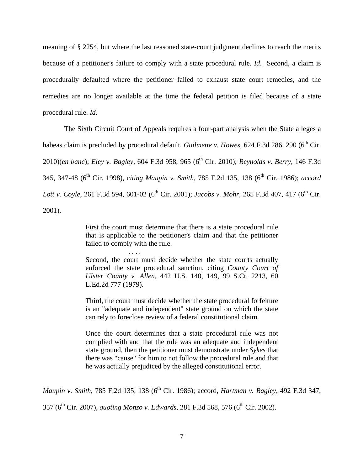meaning of § 2254, but where the last reasoned state-court judgment declines to reach the merits because of a petitioner's failure to comply with a state procedural rule. *Id*. Second, a claim is procedurally defaulted where the petitioner failed to exhaust state court remedies, and the remedies are no longer available at the time the federal petition is filed because of a state procedural rule. *Id*.

 The Sixth Circuit Court of Appeals requires a four-part analysis when the State alleges a habeas claim is precluded by procedural default. *Guilmette v. Howes*, 624 F.3d 286, 290 (6<sup>th</sup> Cir. 2010)(*en banc*); *Eley v. Bagley*, 604 F.3d 958, 965 (6th Cir. 2010); *Reynolds v. Berry*, 146 F.3d 345, 347-48 (6th Cir. 1998), *citing Maupin v. Smith*, 785 F.2d 135, 138 (6th Cir. 1986); *accord Lott v. Coyle*, 261 F.3d 594, 601-02 (6<sup>th</sup> Cir. 2001); *Jacobs v. Mohr*, 265 F.3d 407, 417 (6<sup>th</sup> Cir. 2001).

> First the court must determine that there is a state procedural rule that is applicable to the petitioner's claim and that the petitioner failed to comply with the rule.

> > . . . .

Second, the court must decide whether the state courts actually enforced the state procedural sanction, citing *County Court of Ulster County v. Allen*, 442 U.S. 140, 149, 99 S.Ct. 2213, 60 L.Ed.2d 777 (1979).

Third, the court must decide whether the state procedural forfeiture is an "adequate and independent" state ground on which the state can rely to foreclose review of a federal constitutional claim.

Once the court determines that a state procedural rule was not complied with and that the rule was an adequate and independent state ground, then the petitioner must demonstrate under *Sykes* that there was "cause" for him to not follow the procedural rule and that he was actually prejudiced by the alleged constitutional error.

*Maupin v. Smith, 785 F.2d 135, 138 (6<sup>th</sup> Cir. 1986); accord, <i>Hartman v. Bagley, 492 F.3d 347,* 

357 (6<sup>th</sup> Cir. 2007), *quoting Monzo v. Edwards*, 281 F.3d 568, 576 (6<sup>th</sup> Cir. 2002).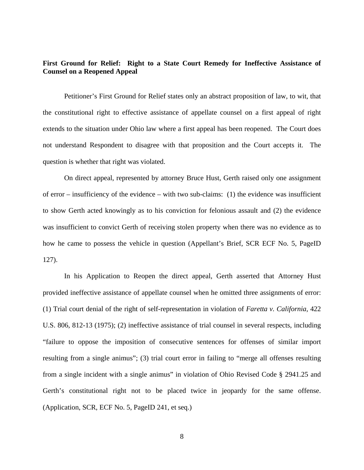### **First Ground for Relief: Right to a State Court Remedy for Ineffective Assistance of Counsel on a Reopened Appeal**

 Petitioner's First Ground for Relief states only an abstract proposition of law, to wit, that the constitutional right to effective assistance of appellate counsel on a first appeal of right extends to the situation under Ohio law where a first appeal has been reopened. The Court does not understand Respondent to disagree with that proposition and the Court accepts it. The question is whether that right was violated.

 On direct appeal, represented by attorney Bruce Hust, Gerth raised only one assignment of error – insufficiency of the evidence – with two sub-claims: (1) the evidence was insufficient to show Gerth acted knowingly as to his conviction for felonious assault and (2) the evidence was insufficient to convict Gerth of receiving stolen property when there was no evidence as to how he came to possess the vehicle in question (Appellant's Brief, SCR ECF No. 5, PageID 127).

 In his Application to Reopen the direct appeal, Gerth asserted that Attorney Hust provided ineffective assistance of appellate counsel when he omitted three assignments of error: (1) Trial court denial of the right of self-representation in violation of *Faretta v. California*, 422 U.S. 806, 812-13 (1975); (2) ineffective assistance of trial counsel in several respects, including "failure to oppose the imposition of consecutive sentences for offenses of similar import resulting from a single animus"; (3) trial court error in failing to "merge all offenses resulting from a single incident with a single animus" in violation of Ohio Revised Code § 2941.25 and Gerth's constitutional right not to be placed twice in jeopardy for the same offense. (Application, SCR, ECF No. 5, PageID 241, et seq.)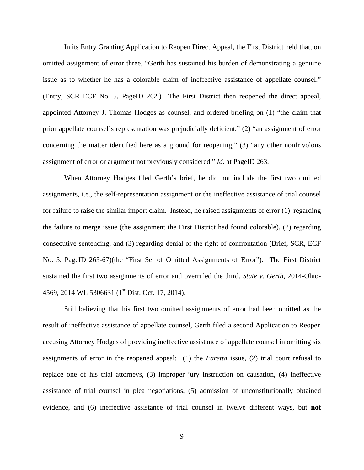In its Entry Granting Application to Reopen Direct Appeal, the First District held that, on omitted assignment of error three, "Gerth has sustained his burden of demonstrating a genuine issue as to whether he has a colorable claim of ineffective assistance of appellate counsel." (Entry, SCR ECF No. 5, PageID 262.) The First District then reopened the direct appeal, appointed Attorney J. Thomas Hodges as counsel, and ordered briefing on (1) "the claim that prior appellate counsel's representation was prejudicially deficient," (2) "an assignment of error concerning the matter identified here as a ground for reopening," (3) "any other nonfrivolous assignment of error or argument not previously considered." *Id.* at PageID 263.

 When Attorney Hodges filed Gerth's brief, he did not include the first two omitted assignments, i.e., the self-representation assignment or the ineffective assistance of trial counsel for failure to raise the similar import claim. Instead, he raised assignments of error (1) regarding the failure to merge issue (the assignment the First District had found colorable), (2) regarding consecutive sentencing, and (3) regarding denial of the right of confrontation (Brief, SCR, ECF No. 5, PageID 265-67)(the "First Set of Omitted Assignments of Error"). The First District sustained the first two assignments of error and overruled the third. *State v. Gerth*, 2014-Ohio-4569, 2014 WL 5306631 (1<sup>st</sup> Dist. Oct. 17, 2014).

 Still believing that his first two omitted assignments of error had been omitted as the result of ineffective assistance of appellate counsel, Gerth filed a second Application to Reopen accusing Attorney Hodges of providing ineffective assistance of appellate counsel in omitting six assignments of error in the reopened appeal: (1) the *Faretta* issue, (2) trial court refusal to replace one of his trial attorneys, (3) improper jury instruction on causation, (4) ineffective assistance of trial counsel in plea negotiations, (5) admission of unconstitutionally obtained evidence, and (6) ineffective assistance of trial counsel in twelve different ways, but **not**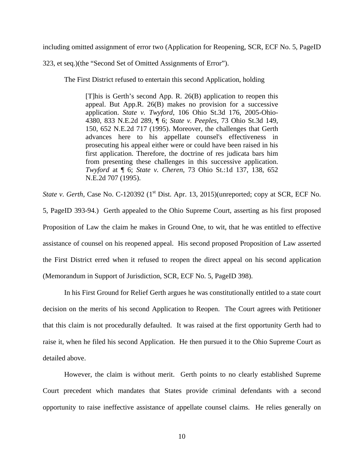including omitted assignment of error two (Application for Reopening, SCR, ECF No. 5, PageID

323, et seq.)(the "Second Set of Omitted Assignments of Error").

The First District refused to entertain this second Application, holding

[T]his is Gerth's second App. R. 26(B) application to reopen this appeal. But App.R. 26(B) makes no provision for a successive application. *State v. Twyford*, 106 Ohio St.3d 176, 2005-Ohio-4380, 833 N.E.2d 289, ¶ 6; *State v. Peeples*, 73 Ohio St.3d 149, 150, 652 N.E.2d 717 (1995). Moreover, the challenges that Gerth advances here to his appellate counsel's effectiveness in prosecuting his appeal either were or could have been raised in his first application. Therefore, the doctrine of res judicata bars him from presenting these challenges in this successive application. *Twyford* at ¶ 6; *State v. Cheren*, 73 Ohio St.:1d 137, 138, 652 N.E.2d 707 (1995).

*State v. Gerth*, Case No. C-120392 (1<sup>st</sup> Dist. Apr. 13, 2015)(unreported; copy at SCR, ECF No. 5, PageID 393-94.) Gerth appealed to the Ohio Supreme Court, asserting as his first proposed Proposition of Law the claim he makes in Ground One, to wit, that he was entitled to effective assistance of counsel on his reopened appeal. His second proposed Proposition of Law asserted the First District erred when it refused to reopen the direct appeal on his second application (Memorandum in Support of Jurisdiction, SCR, ECF No. 5, PageID 398).

 In his First Ground for Relief Gerth argues he was constitutionally entitled to a state court decision on the merits of his second Application to Reopen. The Court agrees with Petitioner that this claim is not procedurally defaulted. It was raised at the first opportunity Gerth had to raise it, when he filed his second Application. He then pursued it to the Ohio Supreme Court as detailed above.

 However, the claim is without merit. Gerth points to no clearly established Supreme Court precedent which mandates that States provide criminal defendants with a second opportunity to raise ineffective assistance of appellate counsel claims. He relies generally on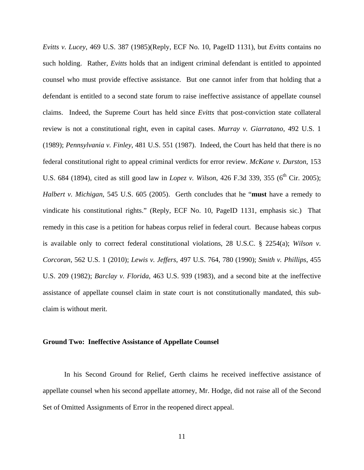*Evitts v. Lucey*, 469 U.S. 387 (1985)(Reply, ECF No. 10, PageID 1131), but *Evitts* contains no such holding. Rather, *Evitts* holds that an indigent criminal defendant is entitled to appointed counsel who must provide effective assistance. But one cannot infer from that holding that a defendant is entitled to a second state forum to raise ineffective assistance of appellate counsel claims. Indeed, the Supreme Court has held since *Evitts* that post-conviction state collateral review is not a constitutional right, even in capital cases. *Murray v. Giarratano*, 492 U.S. 1 (1989); *Pennsylvania v. Finley*, 481 U.S. 551 (1987). Indeed, the Court has held that there is no federal constitutional right to appeal criminal verdicts for error review. *McKane v. Durston*, 153 U.S. 684 (1894), cited as still good law in *Lopez v. Wilson*, 426 F.3d 339, 355 (6<sup>th</sup> Cir. 2005); *Halbert v. Michigan*, 545 U.S. 605 (2005). Gerth concludes that he "**must** have a remedy to vindicate his constitutional rights." (Reply, ECF No. 10, PageID 1131, emphasis sic.) That remedy in this case is a petition for habeas corpus relief in federal court. Because habeas corpus is available only to correct federal constitutional violations, 28 U.S.C. § 2254(a); *Wilson v. Corcoran*, 562 U.S. 1 (2010); *Lewis v. Jeffers*, 497 U.S. 764, 780 (1990); *Smith v. Phillips*, 455 U.S. 209 (1982); *Barclay v. Florida*, 463 U.S. 939 (1983), and a second bite at the ineffective assistance of appellate counsel claim in state court is not constitutionally mandated, this subclaim is without merit.

#### **Ground Two: Ineffective Assistance of Appellate Counsel**

 In his Second Ground for Relief, Gerth claims he received ineffective assistance of appellate counsel when his second appellate attorney, Mr. Hodge, did not raise all of the Second Set of Omitted Assignments of Error in the reopened direct appeal.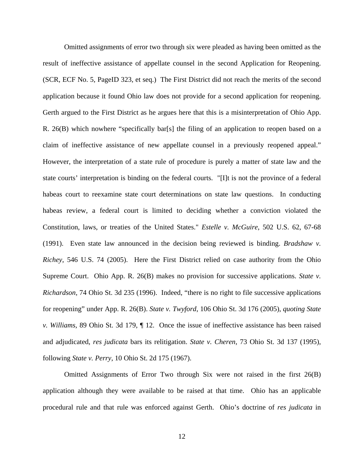Omitted assignments of error two through six were pleaded as having been omitted as the result of ineffective assistance of appellate counsel in the second Application for Reopening. (SCR, ECF No. 5, PageID 323, et seq.) The First District did not reach the merits of the second application because it found Ohio law does not provide for a second application for reopening. Gerth argued to the First District as he argues here that this is a misinterpretation of Ohio App. R. 26(B) which nowhere "specifically bar[s] the filing of an application to reopen based on a claim of ineffective assistance of new appellate counsel in a previously reopened appeal." However, the interpretation of a state rule of procedure is purely a matter of state law and the state courts' interpretation is binding on the federal courts. "[I]t is not the province of a federal habeas court to reexamine state court determinations on state law questions. In conducting habeas review, a federal court is limited to deciding whether a conviction violated the Constitution, laws, or treaties of the United States." *Estelle v. McGuire*, 502 U.S. 62, 67-68 (1991). Even state law announced in the decision being reviewed is binding. *Bradshaw v. Richey*, 546 U.S. 74 (2005). Here the First District relied on case authority from the Ohio Supreme Court. Ohio App. R. 26(B) makes no provision for successive applications. *State v. Richardson*, 74 Ohio St. 3d 235 (1996). Indeed, "there is no right to file successive applications for reopening" under App. R. 26(B). *State v. Twyford*, 106 Ohio St. 3d 176 (2005), *quoting State v. Williams,* 89 Ohio St. 3d 179, ¶ 12. Once the issue of ineffective assistance has been raised and adjudicated, *res judicata* bars its relitigation. *State v. Cheren*, 73 Ohio St. 3d 137 (1995), following *State v. Perry*, 10 Ohio St. 2d 175 (1967).

 Omitted Assignments of Error Two through Six were not raised in the first 26(B) application although they were available to be raised at that time. Ohio has an applicable procedural rule and that rule was enforced against Gerth. Ohio's doctrine of *res judicata* in

12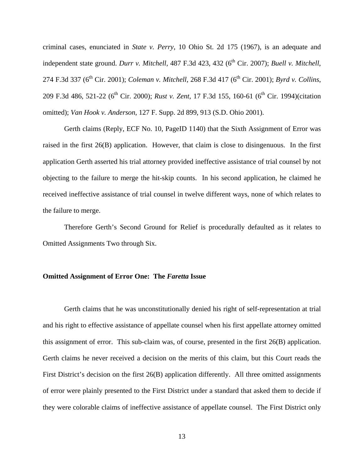criminal cases, enunciated in *State v. Perry*, 10 Ohio St. 2d 175 (1967), is an adequate and independent state ground. *Durr v. Mitchell*, 487 F.3d 423, 432 (6<sup>th</sup> Cir. 2007); *Buell v. Mitchell*, 274 F.3d 337 (6<sup>th</sup> Cir. 2001); *Coleman v. Mitchell*, 268 F.3d 417 (6<sup>th</sup> Cir. 2001); *Byrd v. Collins*, 209 F.3d 486, 521-22 (6<sup>th</sup> Cir. 2000); *Rust v. Zent*, 17 F.3d 155, 160-61 (6<sup>th</sup> Cir. 1994)(citation omitted); *Van Hook v. Anderson*, 127 F. Supp. 2d 899, 913 (S.D. Ohio 2001).

 Gerth claims (Reply, ECF No. 10, PageID 1140) that the Sixth Assignment of Error was raised in the first 26(B) application. However, that claim is close to disingenuous. In the first application Gerth asserted his trial attorney provided ineffective assistance of trial counsel by not objecting to the failure to merge the hit-skip counts. In his second application, he claimed he received ineffective assistance of trial counsel in twelve different ways, none of which relates to the failure to merge.

 Therefore Gerth's Second Ground for Relief is procedurally defaulted as it relates to Omitted Assignments Two through Six.

#### **Omitted Assignment of Error One: The** *Faretta* **Issue**

 Gerth claims that he was unconstitutionally denied his right of self-representation at trial and his right to effective assistance of appellate counsel when his first appellate attorney omitted this assignment of error. This sub-claim was, of course, presented in the first 26(B) application. Gerth claims he never received a decision on the merits of this claim, but this Court reads the First District's decision on the first 26(B) application differently. All three omitted assignments of error were plainly presented to the First District under a standard that asked them to decide if they were colorable claims of ineffective assistance of appellate counsel. The First District only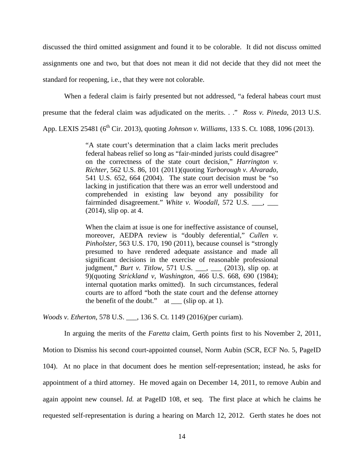discussed the third omitted assignment and found it to be colorable. It did not discuss omitted assignments one and two, but that does not mean it did not decide that they did not meet the standard for reopening, i.e., that they were not colorable.

When a federal claim is fairly presented but not addressed, "a federal habeas court must

presume that the federal claim was adjudicated on the merits. . ." *Ross v. Pineda*, 2013 U.S.

App. LEXIS 25481 (6<sup>th</sup> Cir. 2013), quoting *Johnson v. Williams*, 133 S. Ct. 1088, 1096 (2013).

"A state court's determination that a claim lacks merit precludes federal habeas relief so long as "fair-minded jurists could disagree" on the correctness of the state court decision," *Harrington v. Richter,* 562 U.S. 86, 101 (2011)(quoting *Yarborough v. Alvarado*, 541 U.S. 652, 664 (2004). The state court decision must be "so lacking in justification that there was an error well understood and comprehended in existing law beyond any possibility for fairminded disagreement." *White v. Woodall*, 572 U.S. \_\_\_, \_\_\_ (2014), slip op. at 4.

When the claim at issue is one for ineffective assistance of counsel, moreover, AEDPA review is "doubly deferential," *Cullen v. Pinholster*, 563 U.S. 170, 190 (2011), because counsel is "strongly presumed to have rendered adequate assistance and made all significant decisions in the exercise of reasonable professional judgment," *Burt v. Titlow*, 571 U.S. \_\_\_, \_\_\_ (2013), slip op. at 9)(quoting *Strickland v, Washington*, 466 U.S. 668, 690 (1984); internal quotation marks omitted). In such circumstances, federal courts are to afford "both the state court and the defense attorney the benefit of the doubt."  $at$  \_\_\_ (slip op. at 1).

*Woods v. Etherton*, 578 U.S. \_\_\_, 136 S. Ct. 1149 (2016)(per curiam).

 In arguing the merits of the *Faretta* claim, Gerth points first to his November 2, 2011, Motion to Dismiss his second court-appointed counsel, Norm Aubin (SCR, ECF No. 5, PageID 104). At no place in that document does he mention self-representation; instead, he asks for appointment of a third attorney. He moved again on December 14, 2011, to remove Aubin and again appoint new counsel. *Id.* at PageID 108, et seq. The first place at which he claims he requested self-representation is during a hearing on March 12, 2012. Gerth states he does not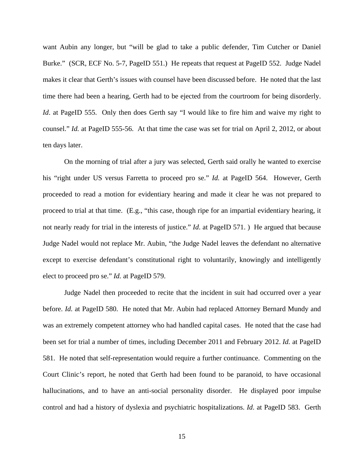want Aubin any longer, but "will be glad to take a public defender, Tim Cutcher or Daniel Burke." (SCR, ECF No. 5-7, PageID 551.) He repeats that request at PageID 552. Judge Nadel makes it clear that Gerth's issues with counsel have been discussed before. He noted that the last time there had been a hearing, Gerth had to be ejected from the courtroom for being disorderly. *Id.* at PageID 555. Only then does Gerth say "I would like to fire him and waive my right to counsel." *Id.* at PageID 555-56. At that time the case was set for trial on April 2, 2012, or about ten days later.

 On the morning of trial after a jury was selected, Gerth said orally he wanted to exercise his "right under US versus Farretta to proceed pro se." *Id.* at PageID 564. However, Gerth proceeded to read a motion for evidentiary hearing and made it clear he was not prepared to proceed to trial at that time. (E.g., "this case, though ripe for an impartial evidentiary hearing, it not nearly ready for trial in the interests of justice." *Id*. at PageID 571. ) He argued that because Judge Nadel would not replace Mr. Aubin, "the Judge Nadel leaves the defendant no alternative except to exercise defendant's constitutional right to voluntarily, knowingly and intelligently elect to proceed pro se." *Id.* at PageID 579.

 Judge Nadel then proceeded to recite that the incident in suit had occurred over a year before. *Id.* at PageID 580. He noted that Mr. Aubin had replaced Attorney Bernard Mundy and was an extremely competent attorney who had handled capital cases. He noted that the case had been set for trial a number of times, including December 2011 and February 2012. *Id.* at PageID 581. He noted that self-representation would require a further continuance. Commenting on the Court Clinic's report, he noted that Gerth had been found to be paranoid, to have occasional hallucinations, and to have an anti-social personality disorder. He displayed poor impulse control and had a history of dyslexia and psychiatric hospitalizations. *Id*. at PageID 583. Gerth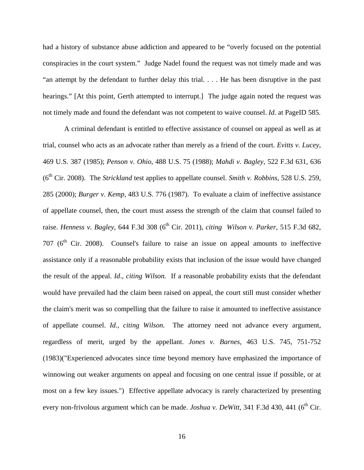had a history of substance abuse addiction and appeared to be "overly focused on the potential conspiracies in the court system." Judge Nadel found the request was not timely made and was "an attempt by the defendant to further delay this trial. . . . He has been disruptive in the past hearings." [At this point, Gerth attempted to interrupt.] The judge again noted the request was not timely made and found the defendant was not competent to waive counsel. *Id.* at PageID 585.

 A criminal defendant is entitled to effective assistance of counsel on appeal as well as at trial, counsel who acts as an advocate rather than merely as a friend of the court. *Evitts v. Lucey*, 469 U.S. 387 (1985); *Penson v. Ohio*, 488 U.S. 75 (1988); *Mahdi v. Bagley*, 522 F.3d 631, 636 (6th Cir. 2008). The *Strickland* test applies to appellate counsel. *Smith v. Robbins*, 528 U.S. 259, 285 (2000); *Burger v. Kemp*, 483 U.S. 776 (1987). To evaluate a claim of ineffective assistance of appellate counsel, then, the court must assess the strength of the claim that counsel failed to raise. *Henness v. Bagley*, 644 F.3d 308 (6<sup>th</sup> Cir. 2011), *citing Wilson v. Parker*, 515 F.3d 682, 707 ( $6<sup>th</sup>$  Cir. 2008). Counsel's failure to raise an issue on appeal amounts to ineffective assistance only if a reasonable probability exists that inclusion of the issue would have changed the result of the appeal. *Id*., *citing Wilson.* If a reasonable probability exists that the defendant would have prevailed had the claim been raised on appeal, the court still must consider whether the claim's merit was so compelling that the failure to raise it amounted to ineffective assistance of appellate counsel. *Id., citing Wilson.* The attorney need not advance every argument, regardless of merit, urged by the appellant. *Jones v. Barnes*, 463 U.S. 745, 751-752 (1983)("Experienced advocates since time beyond memory have emphasized the importance of winnowing out weaker arguments on appeal and focusing on one central issue if possible, or at most on a few key issues.") Effective appellate advocacy is rarely characterized by presenting every non-frivolous argument which can be made. *Joshua v. DeWitt*, 341 F.3d 430, 441 (6<sup>th</sup> Cir.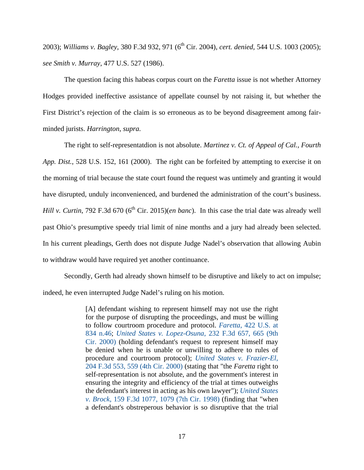2003); *Williams v. Bagley*, 380 F.3d 932, 971 (6<sup>th</sup> Cir. 2004), *cert. denied*, 544 U.S. 1003 (2005); *see Smith v. Murray*, 477 U.S. 527 (1986).

 The question facing this habeas corpus court on the *Faretta* issue is not whether Attorney Hodges provided ineffective assistance of appellate counsel by not raising it, but whether the First District's rejection of the claim is so erroneous as to be beyond disagreement among fairminded jurists. *Harrington*, *supra.*

 The right to self-representatdion is not absolute. *Martinez v. Ct. of Appeal of Cal., Fourth App. Dist.*, 528 U.S. 152, 161 (2000). The right can be forfeited by attempting to exercise it on the morning of trial because the state court found the request was untimely and granting it would have disrupted, unduly inconvenienced, and burdened the administration of the court's business. *Hill v. Curtin*, 792 F.3d 670 ( $6<sup>th</sup>$  Cir. 2015)(*en banc*). In this case the trial date was already well past Ohio's presumptive speedy trial limit of nine months and a jury had already been selected. In his current pleadings, Gerth does not dispute Judge Nadel's observation that allowing Aubin to withdraw would have required yet another continuance.

 Secondly, Gerth had already shown himself to be disruptive and likely to act on impulse; indeed, he even interrupted Judge Nadel's ruling on his motion.

> [A] defendant wishing to represent himself may not use the right for the purpose of disrupting the proceedings, and must be willing to follow courtroom procedure and protocol. *Faretta*, 422 U.S. at 834 n.46; *United States v. Lopez-Osuna*, 232 F.3d 657, 665 (9th Cir. 2000) (holding defendant's request to represent himself may be denied when he is unable or unwilling to adhere to rules of procedure and courtroom protocol); *United States v. Frazier-El*, 204 F.3d 553, 559 (4th Cir. 2000) (stating that "the *Faretta* right to self-representation is not absolute, and the government's interest in ensuring the integrity and efficiency of the trial at times outweighs the defendant's interest in acting as his own lawyer"); *United States v. Brock*, 159 F.3d 1077, 1079 (7th Cir. 1998) (finding that "when a defendant's obstreperous behavior is so disruptive that the trial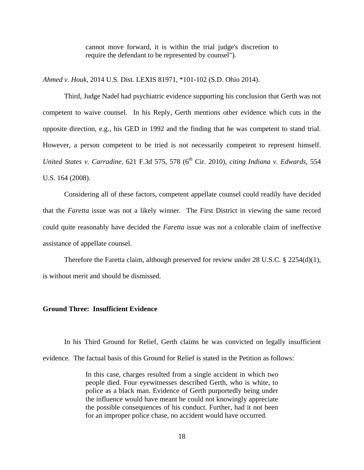cannot move forward, it is within the trial judge's discretion to require the defendant to be represented by counsel").

*Ahmed v. Houk*, 2014 U.S. Dist. LEXIS 81971, \*101-102 (S.D. Ohio 2014).

 Third, Judge Nadel had psychiatric evidence supporting his conclusion that Gerth was not competent to waive counsel. In his Reply, Gerth mentions other evidence which cuts in the opposite direction, e.g., his GED in 1992 and the finding that he was competent to stand trial. However, a person competent to be tried is not necessarily competent to represent himself. *United States v. Carradine, 621 F.3d 575, 578 (6<sup>th</sup> Cir. 2010), <i>citing Indiana v. Edwards*, 554 U.S. 164 (2008).

 Considering all of these factors, competent appellate counsel could readily have decided that the *Faretta* issue was not a likely winner. The First District in viewing the same record could quite reasonably have decided the *Faretta* issue was not a colorable claim of ineffective assistance of appellate counsel.

Therefore the Faretta claim, although preserved for review under 28 U.S.C.  $\S$  2254(d)(1), is without merit and should be dismissed.

#### **Ground Three: Insufficient Evidence**

 In his Third Ground for Relief, Gerth claims he was convicted on legally insufficient evidence. The factual basis of this Ground for Relief is stated in the Petition as follows:

> In this case, charges resulted from a single accident in which two people died. Four eyewitnesses described Gerth, who is white, to police as a black man. Evidence of Gerth purportedly being under the influence would have meant he could not knowingly appreciate the possible consequences of his conduct. Further, had it not been for an improper police chase, no accident would have occurred.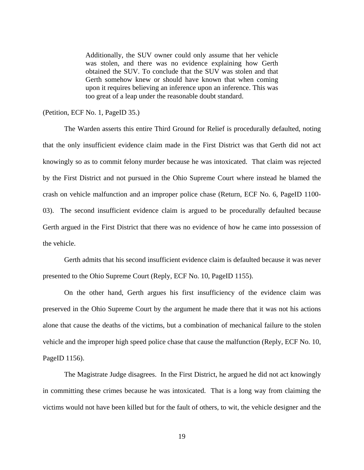Additionally, the SUV owner could only assume that her vehicle was stolen, and there was no evidence explaining how Gerth obtained the SUV. To conclude that the SUV was stolen and that Gerth somehow knew or should have known that when coming upon it requires believing an inference upon an inference. This was too great of a leap under the reasonable doubt standard.

(Petition, ECF No. 1, PageID 35.)

 The Warden asserts this entire Third Ground for Relief is procedurally defaulted, noting that the only insufficient evidence claim made in the First District was that Gerth did not act knowingly so as to commit felony murder because he was intoxicated. That claim was rejected by the First District and not pursued in the Ohio Supreme Court where instead he blamed the crash on vehicle malfunction and an improper police chase (Return, ECF No. 6, PageID 1100- 03). The second insufficient evidence claim is argued to be procedurally defaulted because Gerth argued in the First District that there was no evidence of how he came into possession of the vehicle.

 Gerth admits that his second insufficient evidence claim is defaulted because it was never presented to the Ohio Supreme Court (Reply, ECF No. 10, PageID 1155).

 On the other hand, Gerth argues his first insufficiency of the evidence claim was preserved in the Ohio Supreme Court by the argument he made there that it was not his actions alone that cause the deaths of the victims, but a combination of mechanical failure to the stolen vehicle and the improper high speed police chase that cause the malfunction (Reply, ECF No. 10, PageID 1156).

 The Magistrate Judge disagrees. In the First District, he argued he did not act knowingly in committing these crimes because he was intoxicated. That is a long way from claiming the victims would not have been killed but for the fault of others, to wit, the vehicle designer and the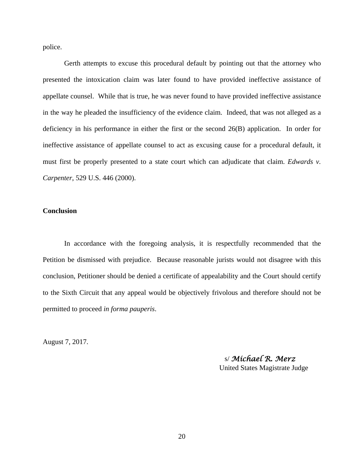police.

 Gerth attempts to excuse this procedural default by pointing out that the attorney who presented the intoxication claim was later found to have provided ineffective assistance of appellate counsel. While that is true, he was never found to have provided ineffective assistance in the way he pleaded the insufficiency of the evidence claim. Indeed, that was not alleged as a deficiency in his performance in either the first or the second 26(B) application. In order for ineffective assistance of appellate counsel to act as excusing cause for a procedural default, it must first be properly presented to a state court which can adjudicate that claim. *Edwards v. Carpenter*, 529 U.S. 446 (2000).

#### **Conclusion**

 In accordance with the foregoing analysis, it is respectfully recommended that the Petition be dismissed with prejudice. Because reasonable jurists would not disagree with this conclusion, Petitioner should be denied a certificate of appealability and the Court should certify to the Sixth Circuit that any appeal would be objectively frivolous and therefore should not be permitted to proceed *in forma pauperis*.

August 7, 2017.

 s/ *Michael R. Merz* United States Magistrate Judge